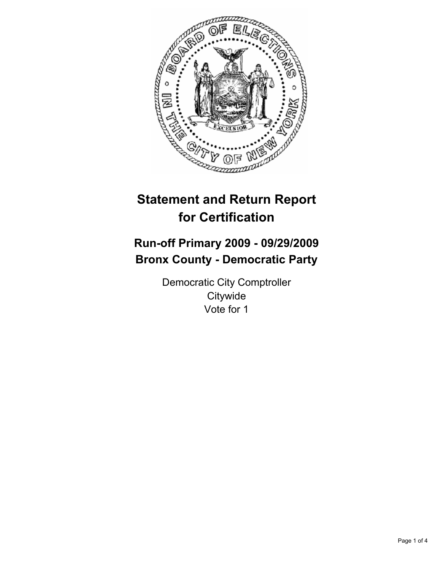

# **Statement and Return Report for Certification**

# **Run-off Primary 2009 - 09/29/2009 Bronx County - Democratic Party**

Democratic City Comptroller **Citywide** Vote for 1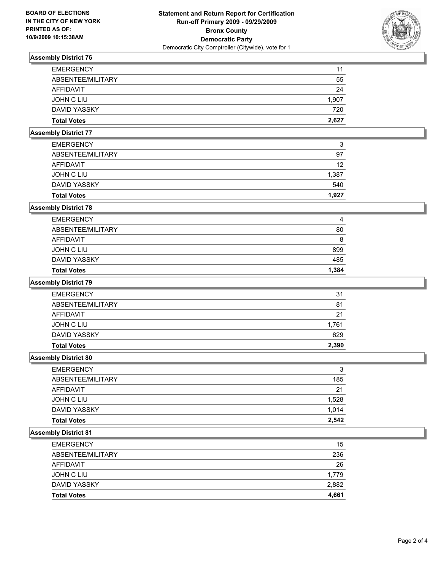

# **Assembly District 76**

| <b>EMERGENCY</b>    | 11    |
|---------------------|-------|
| ABSENTEE/MILITARY   | 55    |
| AFFIDAVIT           | 24    |
| JOHN C LIU          | 1,907 |
| <b>DAVID YASSKY</b> | 720   |
| <b>Total Votes</b>  | 2,627 |

# **Assembly District 77**

| <b>Total Votes</b> | 1.927 |
|--------------------|-------|
| DAVID YASSKY       | 540   |
| JOHN C LIU         | 1,387 |
| AFFIDAVIT          | 12    |
| ABSENTEE/MILITARY  | 97    |
| <b>EMERGENCY</b>   | 3     |

## **Assembly District 78**

| <b>Total Votes</b> | 1.384 |
|--------------------|-------|
| DAVID YASSKY       | 485   |
| JOHN C LIU         | 899   |
| AFFIDAVIT          | 8     |
| ABSENTEE/MILITARY  | 80    |
| <b>EMERGENCY</b>   | 4     |

## **Assembly District 79**

| <b>Total Votes</b> | 2.390 |
|--------------------|-------|
| DAVID YASSKY       | 629   |
| JOHN C LIU         | 1.761 |
| AFFIDAVIT          | 21    |
| ABSENTEE/MILITARY  | 81    |
| <b>EMERGENCY</b>   | 31    |

## **Assembly District 80**

| <b>EMERGENCY</b>   | 3     |
|--------------------|-------|
| ABSENTEE/MILITARY  | 185   |
| AFFIDAVIT          | 21    |
| JOHN C LIU         | 1,528 |
| DAVID YASSKY       | 1.014 |
| <b>Total Votes</b> | 2,542 |

#### **Assembly District 81**

| <b>Total Votes</b> | 4,661 |
|--------------------|-------|
| DAVID YASSKY       | 2,882 |
| JOHN C LIU         | 1,779 |
| <b>AFFIDAVIT</b>   | 26    |
| ABSENTEE/MILITARY  | 236   |
| <b>EMERGENCY</b>   | 15    |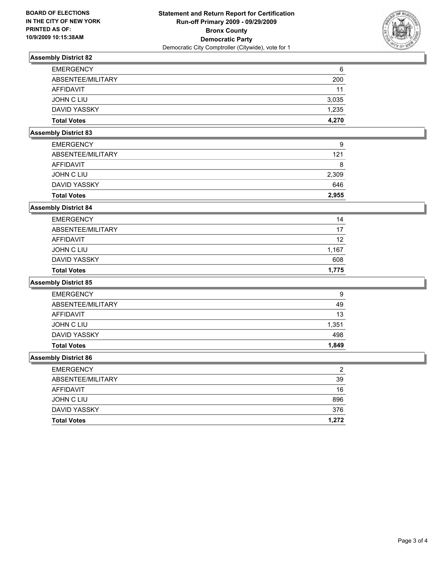

# **Assembly District 82**

| <b>EMERGENCY</b>   | 6     |
|--------------------|-------|
| ABSENTEE/MILITARY  | 200   |
| AFFIDAVIT          | 11    |
| JOHN C LIU         | 3,035 |
| DAVID YASSKY       | 1.235 |
| <b>Total Votes</b> | 4.270 |

# **Assembly District 83**

| <b>Total Votes</b> | 2.955 |
|--------------------|-------|
| DAVID YASSKY       | 646   |
| JOHN C LIU         | 2,309 |
| AFFIDAVIT          | 8     |
| ABSENTEE/MILITARY  | 121   |
| <b>EMERGENCY</b>   | 9     |

## **Assembly District 84**

| <b>Total Votes</b> | 1.775 |
|--------------------|-------|
| DAVID YASSKY       | 608   |
| JOHN C LIU         | 1,167 |
| AFFIDAVIT          | 12    |
| ABSENTEE/MILITARY  | 17    |
| <b>EMERGENCY</b>   | 14    |

#### **Assembly District 85**

| <b>Total Votes</b> | 1,849 |
|--------------------|-------|
| DAVID YASSKY       | 498   |
| JOHN C LIU         | 1,351 |
| AFFIDAVIT          | 13    |
| ABSENTEE/MILITARY  | 49    |
| <b>EMERGENCY</b>   | 9     |

### **Assembly District 86**

| <b>EMERGENCY</b>   | ◠     |
|--------------------|-------|
| ABSENTEE/MILITARY  | 39    |
| AFFIDAVIT          | 16    |
| JOHN C LIU         | 896   |
| DAVID YASSKY       | 376   |
| <b>Total Votes</b> | 1.272 |